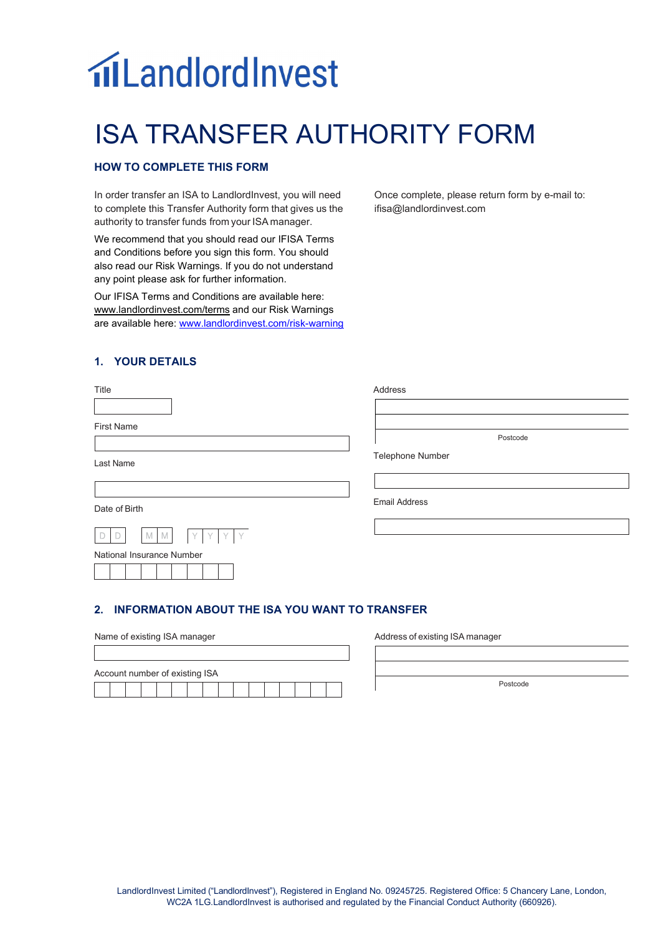# **niLandlordInvest**

# ISA TRANSFER AUTHORITY FORM

## **HOW TO COMPLETE THIS FORM**

In order transfer an ISA to LandlordInvest, you will need to complete this Transfer Authority form that gives us the authority to transfer funds from your ISA manager.

We recommend that you should read our IFISA Terms and Conditions before you sign this form. You should also read our Risk Warnings. If you do not understand any point please ask for further information.

Our IFISA Terms and Conditions are available here: [www.landlordinvest.com/terms](http://www.landlordinvest.com/terms) and our Risk Warnings are available here[: www.landlordinvest.com/risk-warning](http://www.landlordinvest.com/risk-warning)  Once complete, please return form by e-mail to: ifisa@landlordinvest.com

### **1. YOUR DETAILS**

| Title                     | Address              |
|---------------------------|----------------------|
|                           |                      |
| <b>First Name</b>         |                      |
|                           | Postcode             |
| Last Name                 | Telephone Number     |
|                           |                      |
| Date of Birth             | <b>Email Address</b> |
| YYYY<br>D<br>M<br>D<br>M  |                      |
| National Insurance Number |                      |
|                           |                      |
|                           |                      |

#### **2. INFORMATION ABOUT THE ISA YOU WANT TO TRANSFER**

| Name of existing ISA manager   |  |  |  |  |  |  |  |  |
|--------------------------------|--|--|--|--|--|--|--|--|
|                                |  |  |  |  |  |  |  |  |
| Account number of existing ISA |  |  |  |  |  |  |  |  |
|                                |  |  |  |  |  |  |  |  |

Address of existing ISA manager

Postcode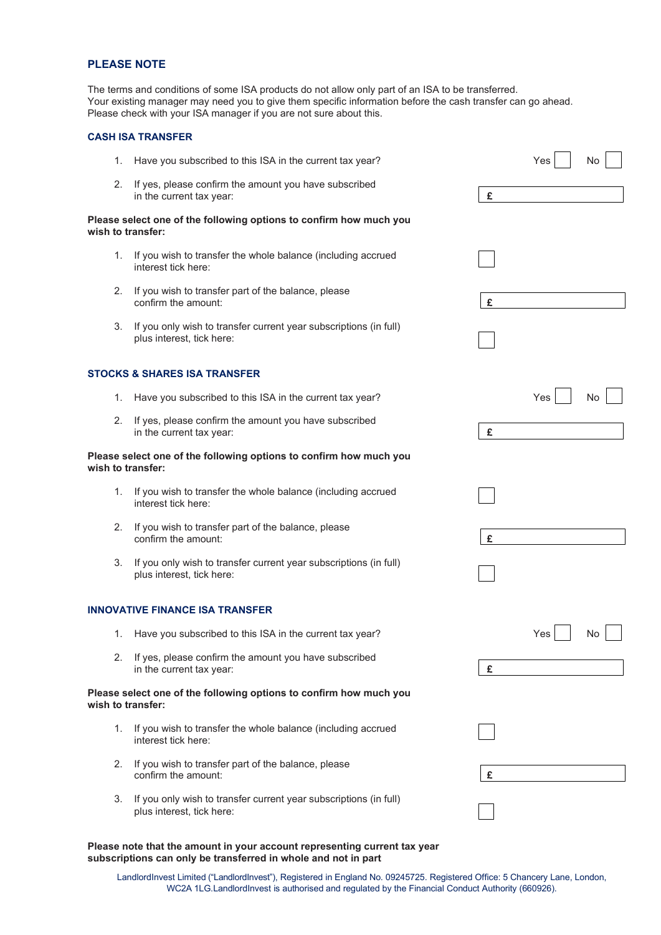#### **PLEASE NOTE**

The terms and conditions of some ISA products do not allow only part of an ISA to be transferred. Your existing manager may need you to give them specific information before the cash transfer can go ahead. Please check with your ISA manager if you are not sure about this.

#### **CASH ISA TRANSFER**

| 1. | Have you subscribed to this ISA in the current tax year?                                       |   | Yes | No |
|----|------------------------------------------------------------------------------------------------|---|-----|----|
| 2. | If yes, please confirm the amount you have subscribed<br>in the current tax year:              | £ |     |    |
|    | Please select one of the following options to confirm how much you<br>wish to transfer:        |   |     |    |
| 1. | If you wish to transfer the whole balance (including accrued<br>interest tick here:            |   |     |    |
| 2. | If you wish to transfer part of the balance, please<br>confirm the amount:                     | £ |     |    |
| 3. | If you only wish to transfer current year subscriptions (in full)<br>plus interest, tick here: |   |     |    |
|    | STOCKS & SHARES ISA TRANSFER                                                                   |   |     |    |
| 1. | Have you subscribed to this ISA in the current tax year?                                       |   | Yes | No |
| 2. | If yes, please confirm the amount you have subscribed<br>in the current tax year:              | £ |     |    |
|    | Please select one of the following options to confirm how much you<br>wish to transfer:        |   |     |    |
| 1. | If you wish to transfer the whole balance (including accrued<br>interest tick here:            |   |     |    |
| 2. | If you wish to transfer part of the balance, please<br>confirm the amount:                     | £ |     |    |
| 3. | If you only wish to transfer current year subscriptions (in full)<br>plus interest, tick here: |   |     |    |
|    | <b>INNOVATIVE FINANCE ISA TRANSFER</b>                                                         |   |     |    |
| 1. | Have you subscribed to this ISA in the current tax year?                                       |   | Yes | No |
| 2. | If yes, please confirm the amount you have subscribed<br>in the current tax year:              | £ |     |    |
|    | Please select one of the following options to confirm how much you<br>wish to transfer:        |   |     |    |
| 1. | If you wish to transfer the whole balance (including accrued<br>interest tick here:            |   |     |    |
| 2. | If you wish to transfer part of the balance, please<br>confirm the amount:                     | £ |     |    |
| 3. | If you only wish to transfer current year subscriptions (in full)<br>plus interest, tick here: |   |     |    |

**Please note that the amount in your account representing current tax year subscriptions can only be transferred in whole and not in part**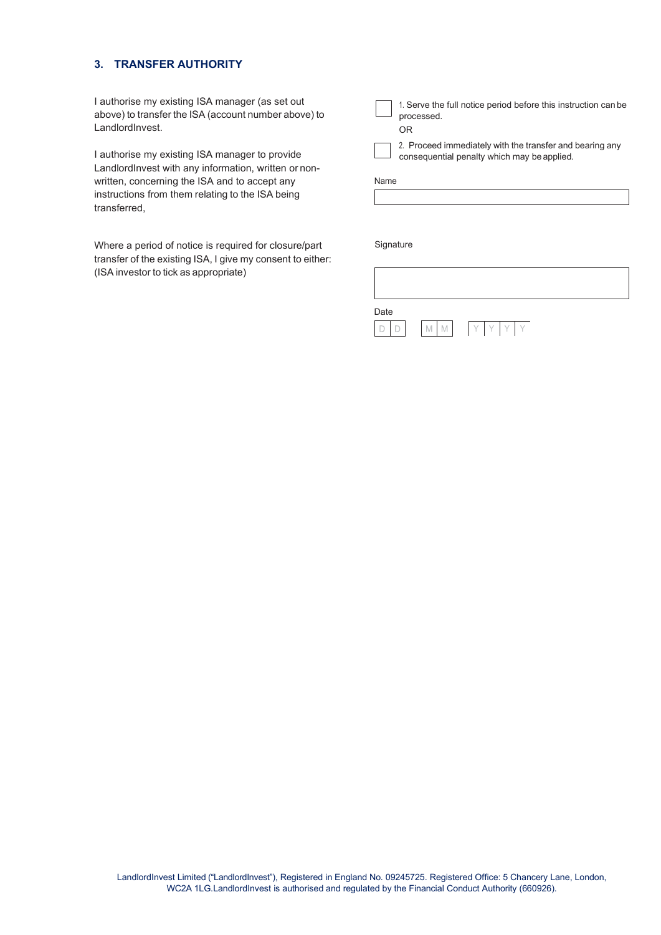#### **3. TRANSFER AUTHORITY**

I authorise my existing ISA manager (as set out above) to transfer the ISA (account number above) to LandlordInvest.

I authorise my existing ISA manager to provide LandlordInvest with any information, written or nonwritten, concerning the ISA and to accept any instructions from them relating to the ISA being transferred,

Where a period of notice is required for closure/part transfer of the existing ISA, I give my consent to either: (ISA investor to tick as appropriate)

1. Serve the full notice period before this instruction can be processed. OR

2. Proceed immediately with the transfer and bearing any consequential penalty which may beapplied.

Name

Signature

| Date | $\mathbb N$<br>IVI | $Y_{1}$<br>Y. |  |
|------|--------------------|---------------|--|